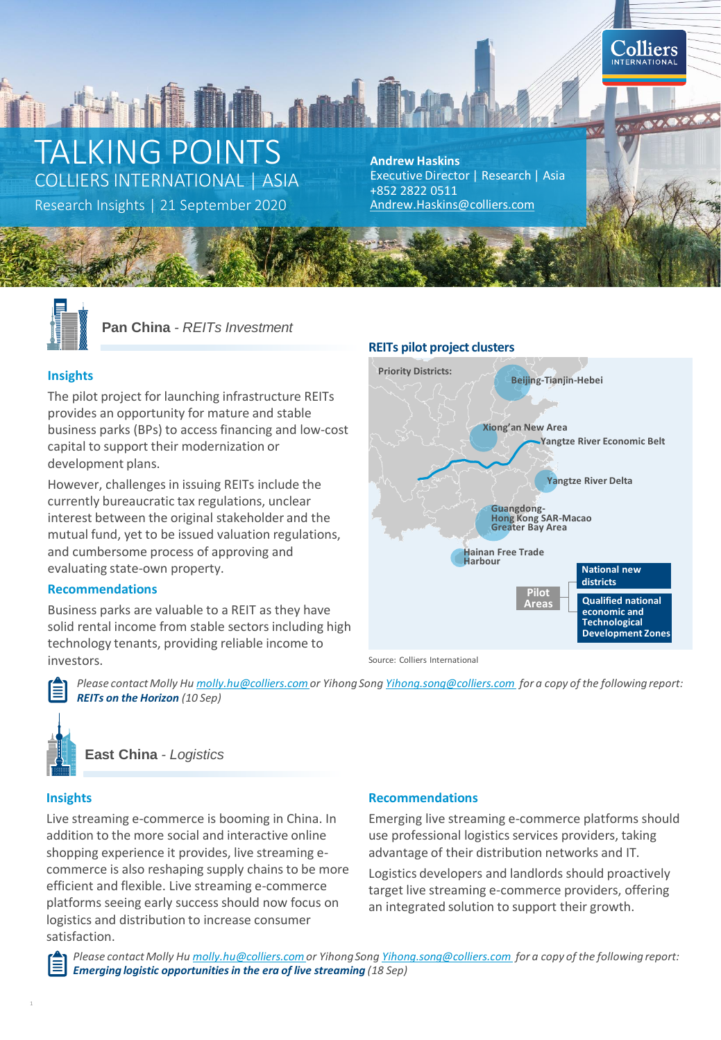# **The Diffusion of the Second** TALKING POINTS COLLIERS INTERNATIONAL | ASIA

Research Insights | 21 September 2020

**Andrew Haskins** Executive Director | Research | Asia +852 2822 0511<br>Andrew.Haskins@colliers.com

**Colliers INTERNATIONA** 

 $\bullet$   $\bullet$   $\bullet$   $\bullet$ 



**Pan China** *- REITs Investment*

## **Insights**

The pilot project for launching infrastructure REITs provides an opportunity for mature and stable business parks (BPs) to access financing and low-cost capital to support their modernization or development plans.

However, challenges in issuing REITs include the currently bureaucratic tax regulations, unclear interest between the original stakeholder and the mutual fund, yet to be issued valuation regulations, and cumbersome process of approving and evaluating state-own property.

# **Recommendations**

Business parks are valuable to a REIT as they have solid rental income from stable sectors including high technology tenants, providing reliable income to investors.





Source: Colliers International

*Please contact Molly Hu [molly.hu@colliers.com](mailto:molly.hu@colliers.com) or Yihong Song [Yihong.song@colliers.com](mailto:Yihong.song@colliers.com) for a copy of the following report: REITs on the Horizon (10 Sep)*

**East China** *- Logistics*

# **Insights**

Live streaming e-commerce is booming in China. In addition to the more social and interactive online shopping experience it provides, live streaming ecommerce is also reshaping supply chains to be more efficient and flexible. Live streaming e-commerce platforms seeing early success should now focus on logistics and distribution to increase consumer satisfaction.

## **Recommendations**

Emerging live streaming e-commerce platforms should use professional logistics services providers, taking advantage of their distribution networks and IT.

Logistics developers and landlords should proactively target live streaming e-commerce providers, offering an integrated solution to support their growth.



*Please contact Molly Hu [molly.hu@colliers.com o](mailto:molly.hu@colliers.com)r Yihong Song [Yihong.song@colliers.com](mailto:Yihong.song@colliers.com) for a copy of the following report: Emerging logistic opportunities in the era of live streaming (18 Sep)*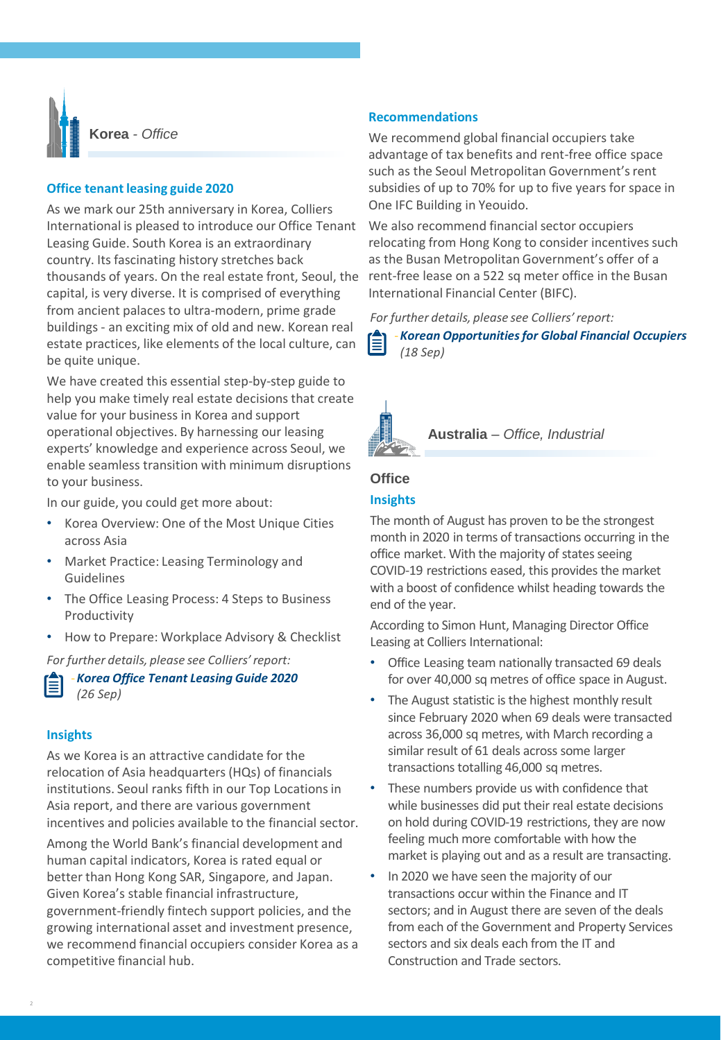

## **Office tenant leasing guide 2020**

As we mark our 25th anniversary in Korea, Colliers International is pleased to introduce our Office Tenant Leasing Guide. South Korea is an extraordinary country. Its fascinating history stretches back thousands of years. On the real estate front, Seoul, the capital, is very diverse. It is comprised of everything from ancient palaces to ultra-modern, prime grade buildings - an exciting mix of old and new. Korean real estate practices, like elements of the local culture, can be quite unique.

We have created this essential step-by-step guide to help you make timely real estate decisions that create value for your business in Korea and support operational objectives. By harnessing our leasing experts' knowledge and experience across Seoul, we enable seamless transition with minimum disruptions to your business.

In our guide, you could get more about:

- Korea Overview: One of the Most Unique Cities across Asia
- Market Practice: Leasing Terminology and **Guidelines**
- The Office Leasing Process: 4 Steps to Business Productivity
- How to Prepare: Workplace Advisory & Checklist

*For further details, please see Colliers' report:*

‐*Korea Office Tenant Leasing Guide 2020 (26 Sep)*

## **Insights**

As we Korea is an attractive candidate for the relocation of Asia headquarters (HQs) of financials institutions. Seoul ranks fifth in our Top Locations in Asia report, and there are various government incentives and policies available to the financial sector.

Among the World Bank's financial development and human capital indicators, Korea is rated equal or better than Hong Kong SAR, Singapore, and Japan. Given Korea's stable financial infrastructure, government-friendly fintech support policies, and the growing international asset and investment presence, we recommend financial occupiers consider Korea as a competitive financial hub.

### **Recommendations**

We recommend global financial occupiers take advantage of tax benefits and rent-free office space such as the Seoul Metropolitan Government's rent subsidies of up to 70% for up to five years for space in One IFC Building in Yeouido.

We also recommend financial sector occupiers relocating from Hong Kong to consider incentives such as the Busan Metropolitan Government's offer of a rent-free lease on a 522 sq meter office in the Busan International Financial Center (BIFC).

*For further details, please see Colliers' report:*

‐*Korean Opportunities for Global Financial Occupiers (18 Sep)*



**Australia** *– Office, Industrial*

# **Office**

## **Insights**

The month of August has proven to be the strongest month in 2020 in terms of transactions occurring in the office market. With the majority of states seeing COVID-19 restrictions eased, this provides the market with a boost of confidence whilst heading towards the end of the year.

According to Simon Hunt, Managing Director Office Leasing at Colliers International:

- Office Leasing team nationally transacted 69 deals for over 40,000 sq metres of office space in August.
- The August statistic is the highest monthly result since February 2020 when 69 deals were transacted across 36,000 sq metres, with March recording a similar result of 61 deals across some larger transactions totalling 46,000 sq metres.
- These numbers provide us with confidence that while businesses did put their real estate decisions on hold during COVID-19 restrictions, they are now feeling much more comfortable with how the market is playing out and as a result are transacting.
- In 2020 we have seen the majority of our transactions occur within the Finance and IT sectors; and in August there are seven of the deals from each of the Government and Property Services sectors and six deals each from the IT and Construction and Trade sectors.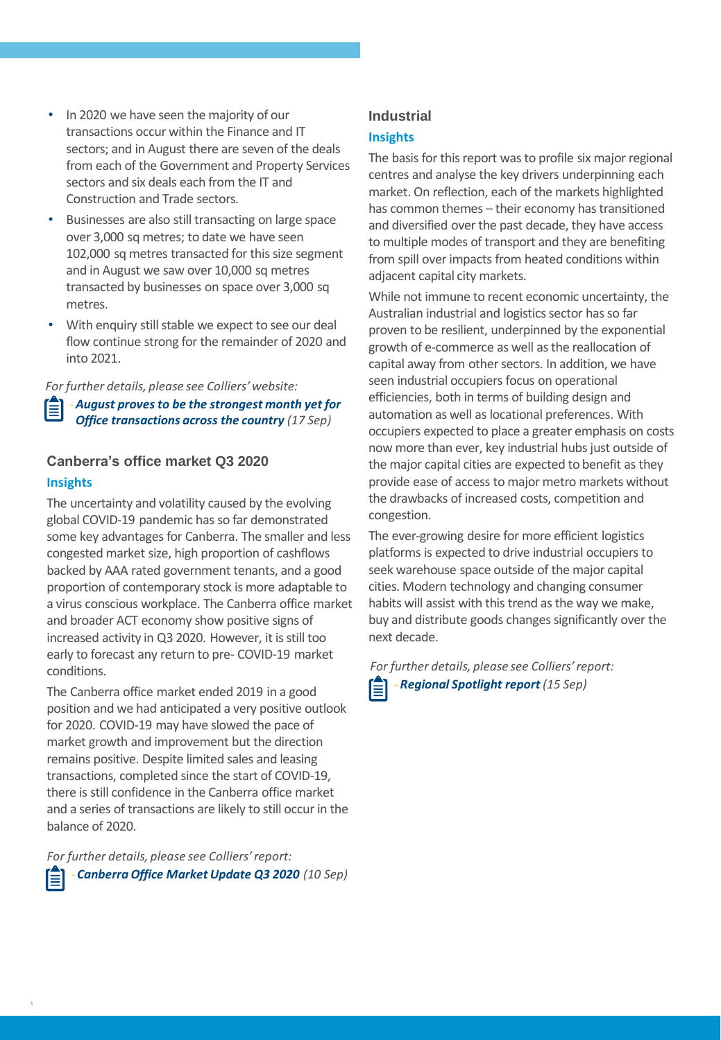- In 2020 we have seen the majority of our transactions occur within the Finance and IT sectors; and in August there are seven of the deals from each of the Government and Property Services sectors and six deals each from the IT and Construction and Trade sectors.
- Businesses are also still transacting on large space over 3,000 sq metres; to date we have seen 102,000 sq metres transacted for this size segment and in August we saw over 10,000 sq metres transacted by businesses on space over 3,000 sq metres.
- With enquiry still stable we expect to see our deal flow continue strong for the remainder of 2020 and into 2021.

‐*August proves to be the strongest month yet for Office transactions across the country (17 Sep) For further details, please see Colliers' website:*

# **Canberra's office market Q3 2020**

## **Insights**

The uncertainty and volatility caused by the evolving global COVID-19 pandemic has so far demonstrated some key advantages for Canberra. The smaller and less congested market size, high proportion of cashflows backed by AAA rated government tenants, and a good proportion of contemporary stock is more adaptable to a virus conscious workplace. The Canberra office market and broader ACT economy show positive signs of increased activity in Q3 2020. However, it is still too early to forecast any return to pre- COVID-19 market conditions.

The Canberra office market ended 2019 in a good position and we had anticipated a very positive outlook for 2020. COVID-19 may have slowed the pace of market growth and improvement but the direction remains positive. Despite limited sales and leasing transactions, completed since the start of COVID-19, there is still confidence in the Canberra office market and a series of transactions are likely to still occur in the balance of 2020.

‐*Canberra Office Market Update Q3 2020 (10 Sep) For further details, please see Colliers' report:*

# **Industrial**

## **Insights**

The basis for this report was to profile six major regional centres and analyse the key drivers underpinning each market. On reflection, each of the markets highlighted has common themes – their economy has transitioned and diversified over the past decade, they have access to multiple modes of transport and they are benefiting from spill over impacts from heated conditions within adjacent capital city markets.

While not immune to recent economic uncertainty, the Australian industrial and logistics sector has so far proven to be resilient, underpinned by the exponential growth of e-commerce as well as the reallocation of capital away from other sectors. In addition, we have seen industrial occupiers focus on operational efficiencies, both in terms of building design and automation as well as locational preferences. With occupiers expected to place a greater emphasis on costs now more than ever, key industrial hubs just outside of the major capital cities are expected to benefit as they provide ease of access to major metro markets without the drawbacks of increased costs, competition and congestion.

The ever-growing desire for more efficient logistics platforms is expected to drive industrial occupiers to seek warehouse space outside of the major capital cities. Modern technology and changing consumer habits will assist with this trend as the way we make, buy and distribute goods changes significantly over the next decade.

*For further details, please see Colliers' report:*

‐*Regional Spotlight report (15 Sep)*